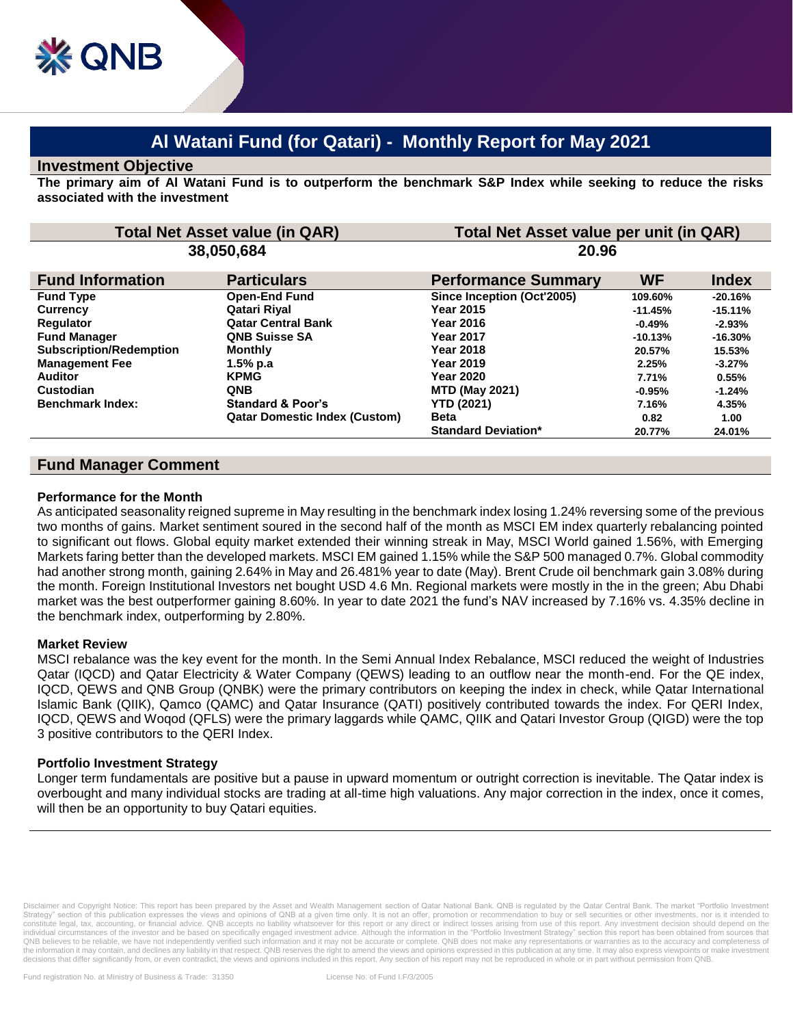# **Al Watani Fund (for Qatari) - Monthly Report for May 2021**

#### **Investment Objective**

**The primary aim of Al Watani Fund is to outperform the benchmark S&P Index while seeking to reduce the risks associated with the investment**

| <b>Total Net Asset value (in QAR)</b> |                                      | <b>Total Net Asset value per unit (in QAR)</b> |           |              |
|---------------------------------------|--------------------------------------|------------------------------------------------|-----------|--------------|
| 38,050,684                            |                                      | 20.96                                          |           |              |
| <b>Fund Information</b>               | <b>Particulars</b>                   | <b>Performance Summary</b>                     | <b>WF</b> | <b>Index</b> |
| <b>Fund Type</b>                      | <b>Open-End Fund</b>                 | Since Inception (Oct'2005)                     | 109.60%   | $-20.16%$    |
| <b>Currency</b>                       | Qatari Riyal                         | Year 2015                                      | $-11.45%$ | $-15.11%$    |
| <b>Regulator</b>                      | <b>Qatar Central Bank</b>            | <b>Year 2016</b>                               | $-0.49%$  | $-2.93%$     |
| <b>Fund Manager</b>                   | <b>QNB Suisse SA</b>                 | <b>Year 2017</b>                               | $-10.13%$ | $-16.30%$    |
| <b>Subscription/Redemption</b>        | <b>Monthly</b>                       | <b>Year 2018</b>                               | 20.57%    | 15.53%       |
| <b>Management Fee</b>                 | $1.5%$ p.a                           | <b>Year 2019</b>                               | 2.25%     | $-3.27%$     |
| <b>Auditor</b>                        | <b>KPMG</b>                          | <b>Year 2020</b>                               | 7.71%     | 0.55%        |
| Custodian                             | <b>QNB</b>                           | <b>MTD (May 2021)</b>                          | $-0.95%$  | $-1.24%$     |
| <b>Benchmark Index:</b>               | <b>Standard &amp; Poor's</b>         | <b>YTD (2021)</b>                              | 7.16%     | 4.35%        |
|                                       | <b>Qatar Domestic Index (Custom)</b> | <b>Beta</b>                                    | 0.82      | 1.00         |
|                                       |                                      | <b>Standard Deviation*</b>                     | 20.77%    | 24.01%       |

# **Fund Manager Comment**

#### **Performance for the Month**

As anticipated seasonality reigned supreme in May resulting in the benchmark index losing 1.24% reversing some of the previous two months of gains. Market sentiment soured in the second half of the month as MSCI EM index quarterly rebalancing pointed to significant out flows. Global equity market extended their winning streak in May, MSCI World gained 1.56%, with Emerging Markets faring better than the developed markets. MSCI EM gained 1.15% while the S&P 500 managed 0.7%. Global commodity had another strong month, gaining 2.64% in May and 26.481% year to date (May). Brent Crude oil benchmark gain 3.08% during the month. Foreign Institutional Investors net bought USD 4.6 Mn. Regional markets were mostly in the in the green; Abu Dhabi market was the best outperformer gaining 8.60%. In year to date 2021 the fund's NAV increased by 7.16% vs. 4.35% decline in the benchmark index, outperforming by 2.80%.

## **Market Review**

MSCI rebalance was the key event for the month. In the Semi Annual Index Rebalance, MSCI reduced the weight of Industries Qatar (IQCD) and Qatar Electricity & Water Company (QEWS) leading to an outflow near the month-end. For the QE index, IQCD, QEWS and QNB Group (QNBK) were the primary contributors on keeping the index in check, while Qatar International Islamic Bank (QIIK), Qamco (QAMC) and Qatar Insurance (QATI) positively contributed towards the index. For QERI Index, IQCD, QEWS and Woqod (QFLS) were the primary laggards while QAMC, QIIK and Qatari Investor Group (QIGD) were the top 3 positive contributors to the QERI Index.

## **Portfolio Investment Strategy**

Longer term fundamentals are positive but a pause in upward momentum or outright correction is inevitable. The Qatar index is overbought and many individual stocks are trading at all-time high valuations. Any major correction in the index, once it comes, will then be an opportunity to buy Qatari equities.

Disclaimer and Copyright Notice: This report has been prepared by the Asset and Wealth Management section of Qatar National Bank. QNB is regulated by the Qatar Central Bank. The market "Portfolio Investment Strategy" section of this publication expresses the views and opinions of QNB at a given time only. It is not an offer, promotion or recommendation to buy or sell securities or other investments, nor is it intended to<br>cons individual circumstances of the investor and be based on specifically engaged investment advice. Although the information in the "Portfolio Investment Strategy" section this report has been obtained from sources that QNB believes to be reliable, we have not independently verified such information and it may not be accurate or complete. QNB does not make any representations or warranties as to the accuracy and completeness of the information it may contain, and declines any liability in that respect. QNB reserves the right to amend the views and opinions expressed in this publication at any time. It may also express viewpoints or make investmen decisions that differ significantly from, or even contradict, the views and opinions included in this report. Any section of his report may not be reproduced in whole or in part without permission from QNB.